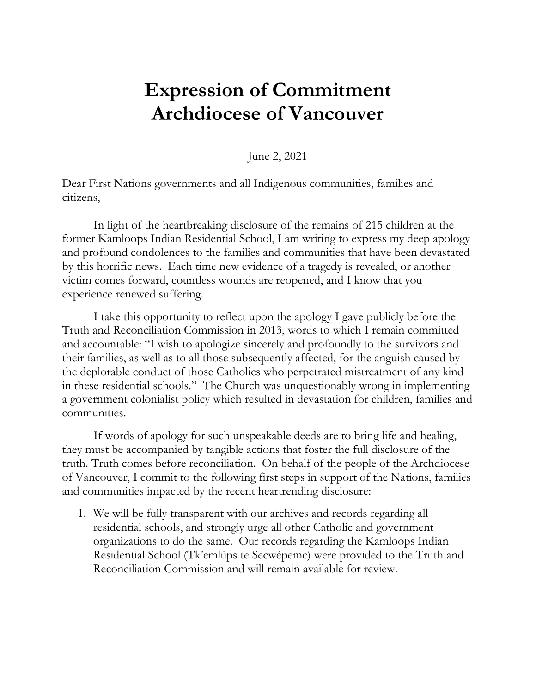## **Expression of Commitment Archdiocese of Vancouver**

June 2, 2021

Dear First Nations governments and all Indigenous communities, families and citizens,

In light of the heartbreaking disclosure of the remains of 215 children at the former Kamloops Indian Residential School, I am writing to express my deep apology and profound condolences to the families and communities that have been devastated by this horrific news. Each time new evidence of a tragedy is revealed, or another victim comes forward, countless wounds are reopened, and I know that you experience renewed suffering.

I take this opportunity to reflect upon the apology I gave publicly before the Truth and Reconciliation Commission in 2013, words to which I remain committed and accountable: "I wish to apologize sincerely and profoundly to the survivors and their families, as well as to all those subsequently affected, for the anguish caused by the deplorable conduct of those Catholics who perpetrated mistreatment of any kind in these residential schools." The Church was unquestionably wrong in implementing a government colonialist policy which resulted in devastation for children, families and communities.

If words of apology for such unspeakable deeds are to bring life and healing, they must be accompanied by tangible actions that foster the full disclosure of the truth. Truth comes before reconciliation. On behalf of the people of the Archdiocese of Vancouver, I commit to the following first steps in support of the Nations, families and communities impacted by the recent heartrending disclosure:

1. We will be fully transparent with our archives and records regarding all residential schools, and strongly urge all other Catholic and government organizations to do the same. Our records regarding the Kamloops Indian Residential School (Tk'emlúps te Secwépemc) were provided to the Truth and Reconciliation Commission and will remain available for review.